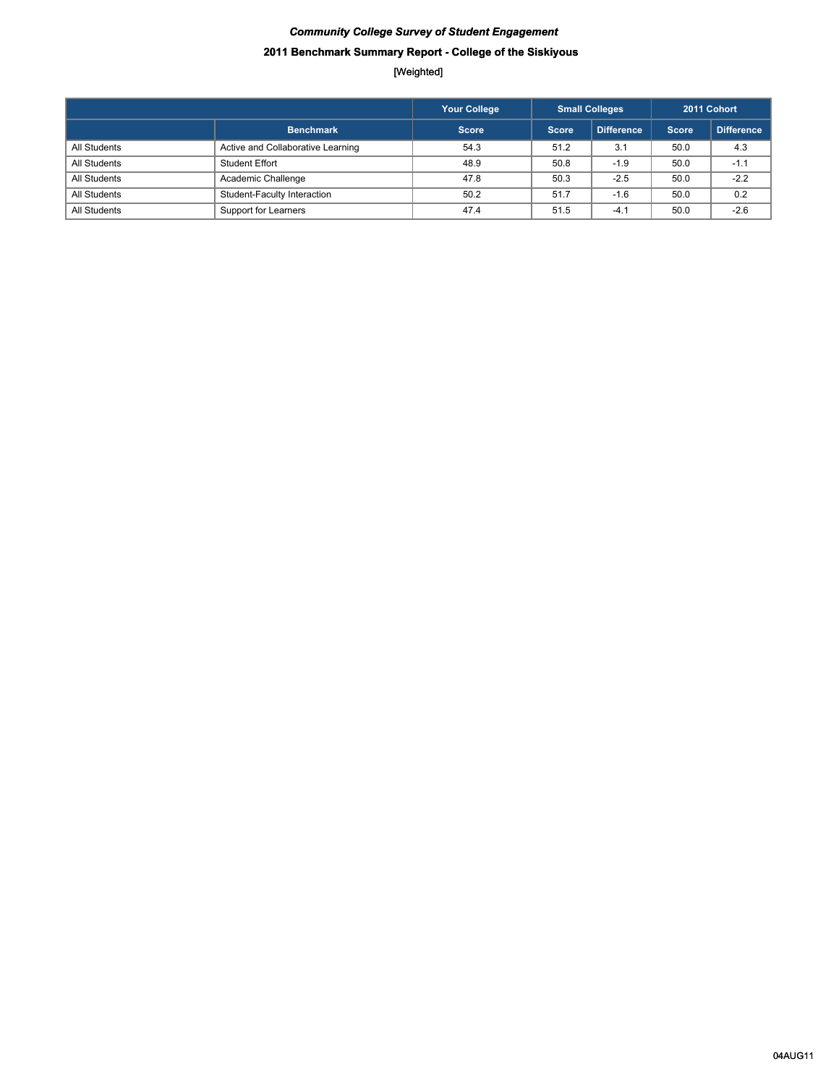# *Community College Survey of Student Engagement* **2011 Benchmark Summary Report - College of the Siskiyous**

|              |                                   | <b>Your College</b> | <b>Small Colleges</b> |                   | 2011 Cohort  |                   |
|--------------|-----------------------------------|---------------------|-----------------------|-------------------|--------------|-------------------|
|              | <b>Benchmark</b>                  | <b>Score</b>        | Score                 | <b>Difference</b> | <b>Score</b> | <b>Difference</b> |
| All Students | Active and Collaborative Learning | 54.3                | 51.2                  | 3.1               | 50.0         | 4.3               |
| All Students | Student Effort                    | 48.9                | 50.8                  | $-1.9$            | 50.0         | $-1.1$            |
| All Students | Academic Challenge                | 47.8                | 50.3                  | $-2.5$            | 50.0         | $-2.2$            |
| All Students | Student-Faculty Interaction       | 50.2                | 51.7                  | $-1.6$            | 50.0         | 0.2               |
| All Students | Support for Learners              | 47.4                | 51.5                  | $-4.1$            | 50.0         | $-2.6$            |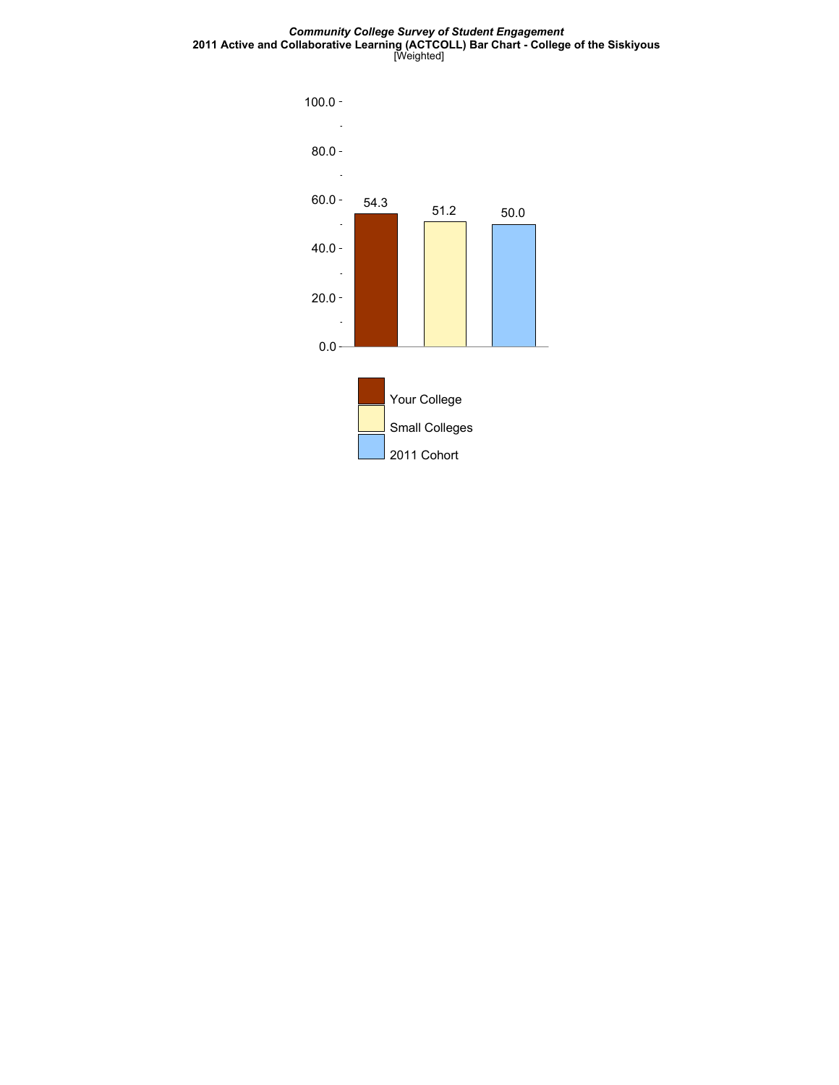*Community College Survey of Student Engagement* **2011 Active and Collaborative Learning (ACTCOLL) Bar Chart - College of the Siskiyous** [Weighted]

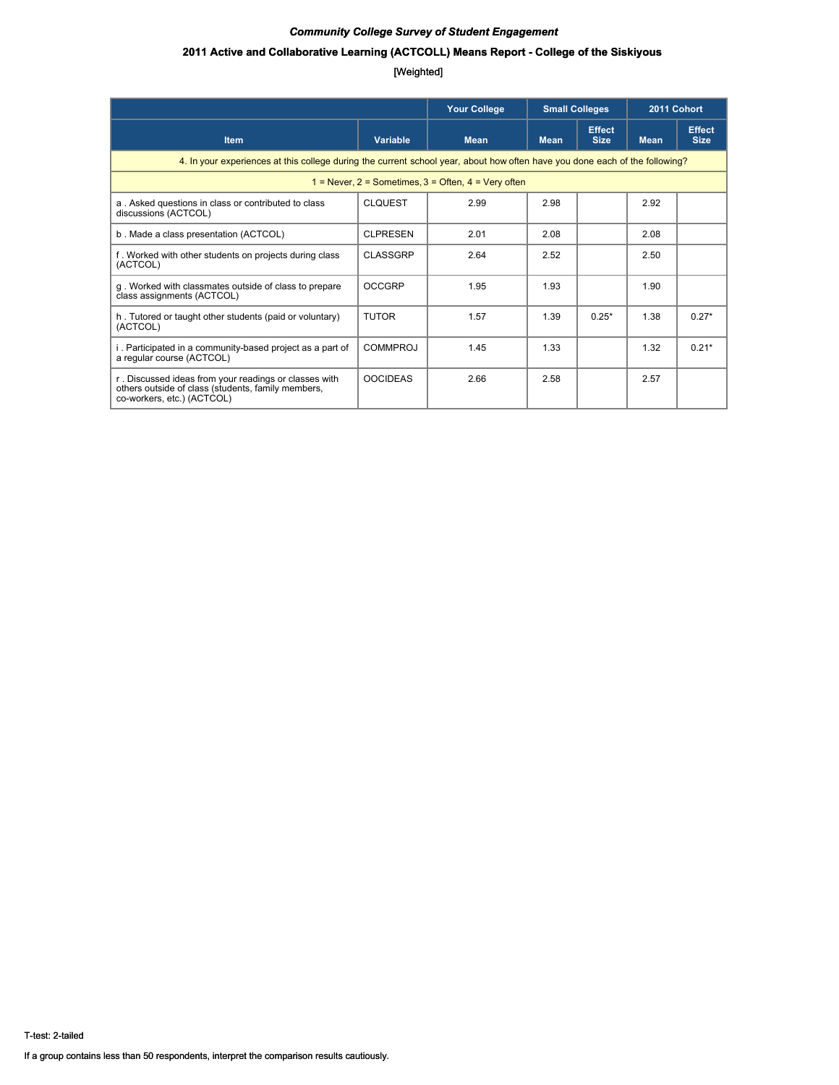### **2011 Active and Collaborative Learning (ACTCOLL) Means Report - College of the Siskiyous**

|                                                                                                                                           |                 | <b>Your College</b>                                         | <b>Small Colleges</b> |                              | 2011 Cohort |                              |  |  |
|-------------------------------------------------------------------------------------------------------------------------------------------|-----------------|-------------------------------------------------------------|-----------------------|------------------------------|-------------|------------------------------|--|--|
| <b>Item</b>                                                                                                                               | Variable        | <b>Mean</b>                                                 | <b>Mean</b>           | <b>Effect</b><br><b>Size</b> | <b>Mean</b> | <b>Effect</b><br><b>Size</b> |  |  |
| 4. In your experiences at this college during the current school year, about how often have you done each of the following?               |                 |                                                             |                       |                              |             |                              |  |  |
|                                                                                                                                           |                 | $1 =$ Never, $2 =$ Sometimes, $3 =$ Often, $4 =$ Very often |                       |                              |             |                              |  |  |
| a. Asked questions in class or contributed to class<br>discussions (ACTCOL)                                                               | <b>CLQUEST</b>  | 2.99                                                        | 2.98                  |                              | 2.92        |                              |  |  |
| b. Made a class presentation (ACTCOL)                                                                                                     | <b>CLPRESEN</b> | 2.01                                                        | 2.08                  |                              | 2.08        |                              |  |  |
| f. Worked with other students on projects during class<br>(ACTCOL)                                                                        | <b>CLASSGRP</b> | 2.64                                                        | 2.52                  |                              | 2.50        |                              |  |  |
| g. Worked with classmates outside of class to prepare<br>class assignments (ACTCOL)                                                       | <b>OCCGRP</b>   | 1.95                                                        | 1.93                  |                              | 1.90        |                              |  |  |
| h. Tutored or taught other students (paid or voluntary)<br>(ACTCOL)                                                                       | <b>TUTOR</b>    | 1.57                                                        | 1.39                  | $0.25*$                      | 1.38        | $0.27*$                      |  |  |
| i. Participated in a community-based project as a part of<br>a regular course (ACTCOL)                                                    | <b>COMMPROJ</b> | 1.45                                                        | 1.33                  |                              | 1.32        | $0.21*$                      |  |  |
| r. Discussed ideas from your readings or classes with<br>others outside of class (students, family members,<br>co-workers, etc.) (ACTCOL) | <b>OOCIDEAS</b> | 2.66                                                        | 2.58                  |                              | 2.57        |                              |  |  |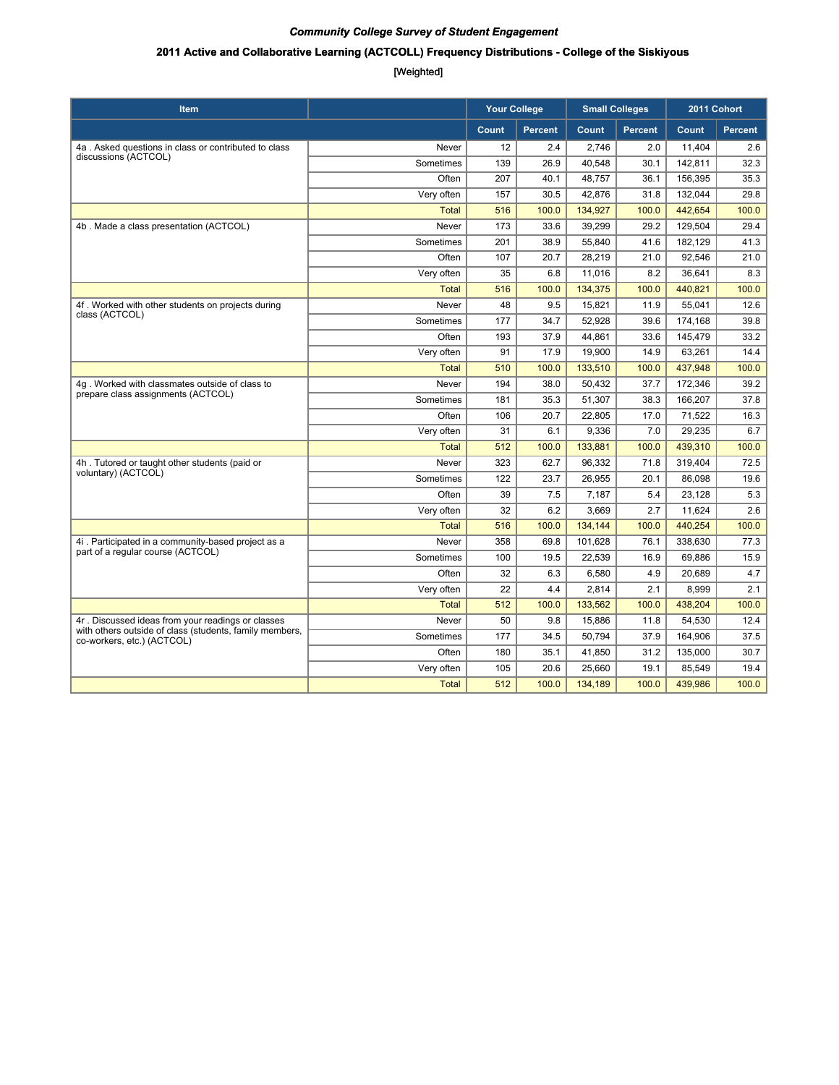### **2011 Active and Collaborative Learning (ACTCOLL) Frequency Distributions - College of the Siskiyous**

| <b>Item</b>                                                                           |              | <b>Your College</b> |                | <b>Small Colleges</b> |                | 2011 Cohort |                |
|---------------------------------------------------------------------------------------|--------------|---------------------|----------------|-----------------------|----------------|-------------|----------------|
|                                                                                       |              | Count               | <b>Percent</b> | Count                 | <b>Percent</b> | Count       | <b>Percent</b> |
| 4a. Asked questions in class or contributed to class                                  | Never        | 12                  | 2.4            | 2,746                 | 2.0            | 11,404      | 2.6            |
| discussions (ACTCOL)                                                                  | Sometimes    | 139                 | 26.9           | 40.548                | 30.1           | 142.811     | 32.3           |
|                                                                                       | Often        | 207                 | 40.1           | 48.757                | 36.1           | 156.395     | 35.3           |
|                                                                                       | Very often   | 157                 | 30.5           | 42,876                | 31.8           | 132,044     | 29.8           |
|                                                                                       | <b>Total</b> | 516                 | 100.0          | 134,927               | 100.0          | 442,654     | 100.0          |
| 4b. Made a class presentation (ACTCOL)                                                | Never        | 173                 | 33.6           | 39,299                | 29.2           | 129,504     | 29.4           |
|                                                                                       | Sometimes    | 201                 | 38.9           | 55,840                | 41.6           | 182,129     | 41.3           |
|                                                                                       | Often        | 107                 | 20.7           | 28,219                | 21.0           | 92,546      | 21.0           |
|                                                                                       | Very often   | 35                  | 6.8            | 11,016                | 8.2            | 36,641      | 8.3            |
|                                                                                       | <b>Total</b> | 516                 | 100.0          | 134,375               | 100.0          | 440,821     | 100.0          |
| 4f. Worked with other students on projects during                                     | Never        | 48                  | 9.5            | 15,821                | 11.9           | 55,041      | 12.6           |
| class (ACTCOL)                                                                        | Sometimes    | 177                 | 34.7           | 52,928                | 39.6           | 174,168     | 39.8           |
|                                                                                       | Often        | 193                 | 37.9           | 44,861                | 33.6           | 145,479     | 33.2           |
|                                                                                       | Very often   | 91                  | 17.9           | 19,900                | 14.9           | 63,261      | 14.4           |
|                                                                                       | <b>Total</b> | 510                 | 100.0          | 133,510               | 100.0          | 437,948     | 100.0          |
| 4g. Worked with classmates outside of class to                                        | Never        | 194                 | 38.0           | 50,432                | 37.7           | 172,346     | 39.2           |
| prepare class assignments (ACTCOL)                                                    | Sometimes    | 181                 | 35.3           | 51,307                | 38.3           | 166,207     | 37.8           |
|                                                                                       | Often        | 106                 | 20.7           | 22,805                | 17.0           | 71,522      | 16.3           |
|                                                                                       | Very often   | 31                  | 6.1            | 9,336                 | 7.0            | 29,235      | 6.7            |
|                                                                                       | <b>Total</b> | 512                 | 100.0          | 133,881               | 100.0          | 439,310     | 100.0          |
| 4h. Tutored or taught other students (paid or                                         | Never        | 323                 | 62.7           | 96,332                | 71.8           | 319,404     | 72.5           |
| voluntary) (ACTCOL)                                                                   | Sometimes    | 122                 | 23.7           | 26,955                | 20.1           | 86,098      | 19.6           |
|                                                                                       | Often        | 39                  | 7.5            | 7,187                 | 5.4            | 23,128      | 5.3            |
|                                                                                       | Very often   | 32                  | 6.2            | 3,669                 | 2.7            | 11,624      | 2.6            |
|                                                                                       | <b>Total</b> | 516                 | 100.0          | 134,144               | 100.0          | 440,254     | 100.0          |
| 4i. Participated in a community-based project as a                                    | Never        | 358                 | 69.8           | 101,628               | 76.1           | 338,630     | 77.3           |
| part of a regular course (ACTCOL)                                                     | Sometimes    | 100                 | 19.5           | 22,539                | 16.9           | 69,886      | 15.9           |
|                                                                                       | Often        | 32                  | 6.3            | 6,580                 | 4.9            | 20,689      | 4.7            |
|                                                                                       | Very often   | 22                  | 4.4            | 2,814                 | 2.1            | 8,999       | 2.1            |
|                                                                                       | <b>Total</b> | 512                 | 100.0          | 133,562               | 100.0          | 438,204     | 100.0          |
| 4r. Discussed ideas from your readings or classes                                     | Never        | 50                  | 9.8            | 15,886                | 11.8           | 54,530      | 12.4           |
| with others outside of class (students, family members,<br>co-workers, etc.) (ACTCOL) | Sometimes    | 177                 | 34.5           | 50,794                | 37.9           | 164,906     | 37.5           |
|                                                                                       | Often        | 180                 | 35.1           | 41,850                | 31.2           | 135,000     | 30.7           |
|                                                                                       | Very often   | 105                 | 20.6           | 25,660                | 19.1           | 85,549      | 19.4           |
|                                                                                       | <b>Total</b> | 512                 | 100.0          | 134,189               | 100.0          | 439,986     | 100.0          |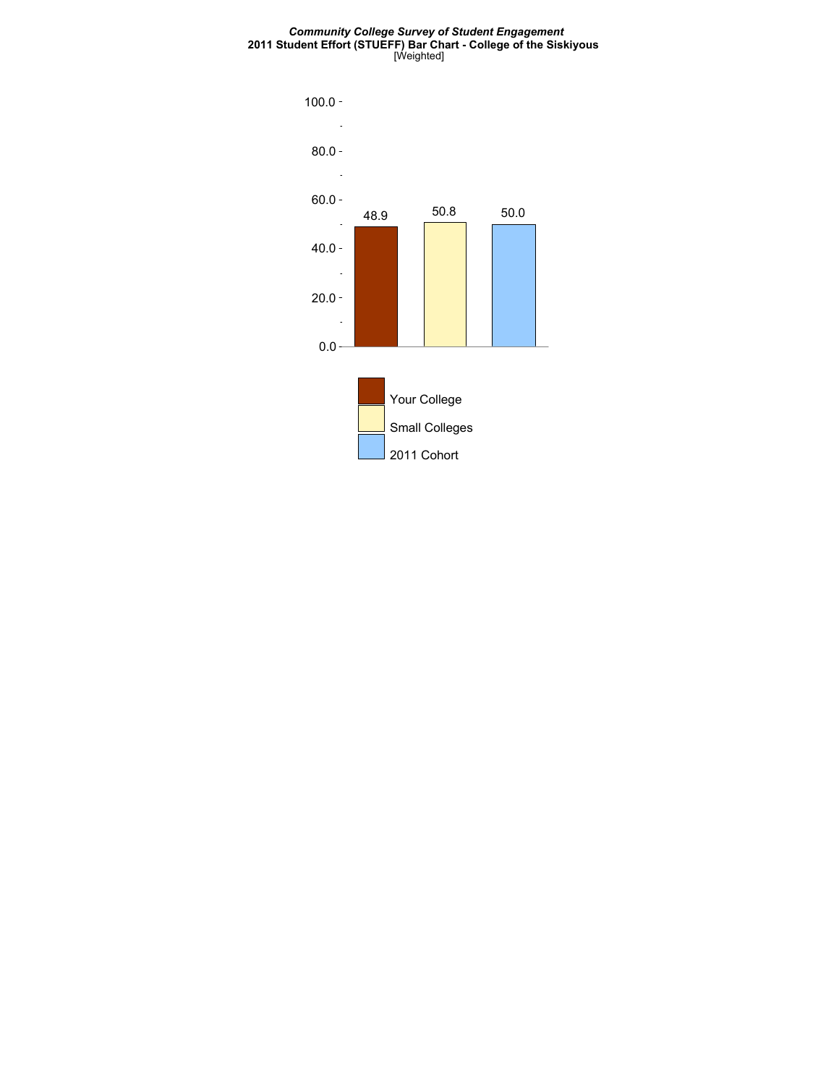#### *Community College Survey of Student Engagement* **2011 Student Effort (STUEFF) Bar Chart - College of the Siskiyous** [Weighted]

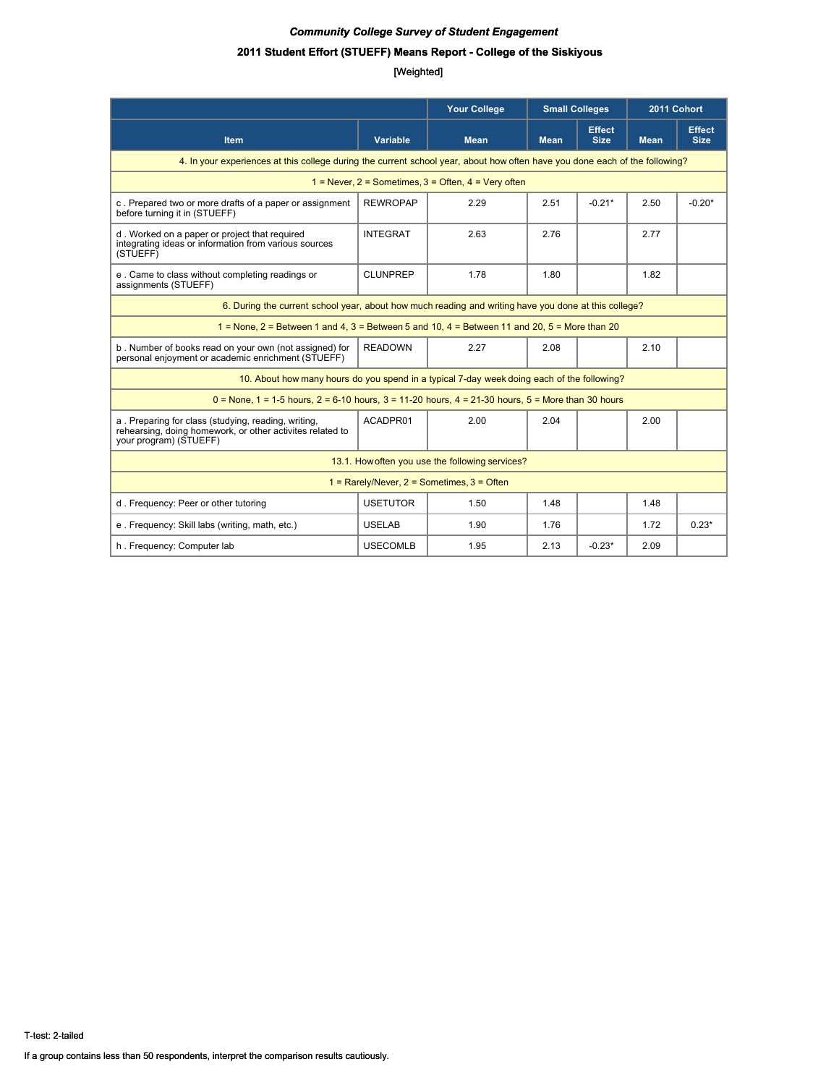### **2011 Student Effort (STUEFF) Means Report - College of the Siskiyous**

|                                                                                                                                            |                 | <b>Your College</b>                             | <b>Small Colleges</b> |                              | 2011 Cohort |                              |  |  |  |
|--------------------------------------------------------------------------------------------------------------------------------------------|-----------------|-------------------------------------------------|-----------------------|------------------------------|-------------|------------------------------|--|--|--|
| <b>Item</b>                                                                                                                                | <b>Variable</b> | <b>Mean</b>                                     | <b>Mean</b>           | <b>Effect</b><br><b>Size</b> | <b>Mean</b> | <b>Effect</b><br><b>Size</b> |  |  |  |
| 4. In your experiences at this college during the current school year, about how often have you done each of the following?                |                 |                                                 |                       |                              |             |                              |  |  |  |
| $1 =$ Never, $2 =$ Sometimes, $3 =$ Often, $4 =$ Very often                                                                                |                 |                                                 |                       |                              |             |                              |  |  |  |
| c. Prepared two or more drafts of a paper or assignment<br>before turning it in (STUEFF)                                                   | <b>REWROPAP</b> | 2.29                                            | 2.51                  | $-0.21*$                     | 2.50        | $-0.20*$                     |  |  |  |
| d. Worked on a paper or project that required<br>integrating ideas or information from various sources<br>(STUEFF)                         | <b>INTEGRAT</b> | 2.63                                            | 2.76                  |                              | 2.77        |                              |  |  |  |
| e. Came to class without completing readings or<br>assignments (STUEFF)                                                                    | <b>CLUNPREP</b> | 1.78                                            | 1.80                  |                              | 1.82        |                              |  |  |  |
| 6. During the current school year, about how much reading and writing have you done at this college?                                       |                 |                                                 |                       |                              |             |                              |  |  |  |
| $1 =$ None, $2 =$ Between 1 and 4, $3 =$ Between 5 and 10, $4 =$ Between 11 and 20, $5 =$ More than 20                                     |                 |                                                 |                       |                              |             |                              |  |  |  |
| b. Number of books read on your own (not assigned) for<br>personal enjoyment or academic enrichment (STUEFF)                               | <b>READOWN</b>  | 2.27                                            | 2.08                  |                              | 2.10        |                              |  |  |  |
| 10. About how many hours do you spend in a typical 7-day week doing each of the following?                                                 |                 |                                                 |                       |                              |             |                              |  |  |  |
| $0 =$ None, 1 = 1-5 hours, 2 = 6-10 hours, 3 = 11-20 hours, 4 = 21-30 hours, 5 = More than 30 hours                                        |                 |                                                 |                       |                              |             |                              |  |  |  |
| a. Preparing for class (studying, reading, writing,<br>rehearsing, doing homework, or other activites related to<br>your program) (STUEFF) | ACADPR01        | 2.00                                            | 2.04                  |                              | 2.00        |                              |  |  |  |
|                                                                                                                                            |                 | 13.1. How often you use the following services? |                       |                              |             |                              |  |  |  |
| $1 =$ Rarely/Never, $2 =$ Sometimes, $3 =$ Often                                                                                           |                 |                                                 |                       |                              |             |                              |  |  |  |
| d. Frequency: Peer or other tutoring                                                                                                       | <b>USETUTOR</b> | 1.50                                            | 1.48                  |                              | 1.48        |                              |  |  |  |
| e. Frequency: Skill labs (writing, math, etc.)                                                                                             | <b>USELAB</b>   | 1.90                                            | 1.76                  |                              | 1.72        | $0.23*$                      |  |  |  |
| h. Frequency: Computer lab                                                                                                                 | <b>USECOMLB</b> | 1.95                                            | 2.13                  | $-0.23*$                     | 2.09        |                              |  |  |  |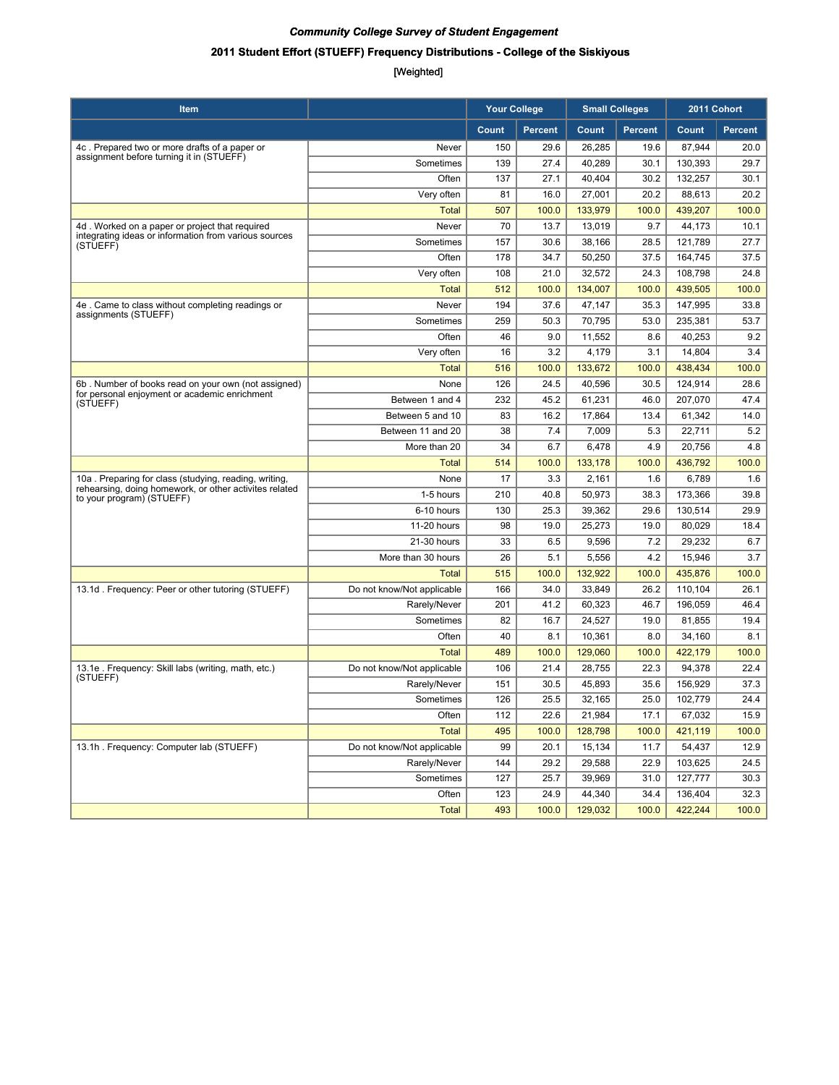# **2011 Student Effort (STUEFF) Frequency Distributions - College of the Siskiyous**

| ltem                                                                                                            |                            | <b>Your College</b> |                | <b>Small Colleges</b> |                |         | 2011 Cohort    |
|-----------------------------------------------------------------------------------------------------------------|----------------------------|---------------------|----------------|-----------------------|----------------|---------|----------------|
|                                                                                                                 |                            | Count               | <b>Percent</b> | Count                 | <b>Percent</b> | Count   | <b>Percent</b> |
| 4c. Prepared two or more drafts of a paper or                                                                   | Never                      | 150                 | 29.6           | 26,285                | 19.6           | 87,944  | 20.0           |
| assignment before turning it in (STUEFF)                                                                        | Sometimes                  | 139                 | 27.4           | 40,289                | 30.1           | 130,393 | 29.7           |
|                                                                                                                 | Often                      | 137                 | 27.1           | 40,404                | 30.2           | 132,257 | 30.1           |
|                                                                                                                 | Very often                 | 81                  | 16.0           | 27,001                | 20.2           | 88,613  | 20.2           |
|                                                                                                                 | <b>Total</b>               | 507                 | 100.0          | 133,979               | 100.0          | 439,207 | 100.0          |
| 4d. Worked on a paper or project that required                                                                  | Never                      | 70                  | 13.7           | 13,019                | 9.7            | 44,173  | 10.1           |
| integrating ideas or information from various sources<br>(STUEFF)                                               | Sometimes                  | 157                 | 30.6           | 38,166                | 28.5           | 121,789 | 27.7           |
|                                                                                                                 | Often                      | 178                 | 34.7           | 50,250                | 37.5           | 164,745 | 37.5           |
|                                                                                                                 | Very often                 | 108                 | 21.0           | 32.572                | 24.3           | 108,798 | 24.8           |
|                                                                                                                 | <b>Total</b>               | 512                 | 100.0          | 134,007               | 100.0          | 439,505 | 100.0          |
| 4e. Came to class without completing readings or                                                                | Never                      | 194                 | 37.6           | 47,147                | 35.3           | 147,995 | 33.8           |
| assignments (STUEFF)                                                                                            | Sometimes                  | 259                 | 50.3           | 70,795                | 53.0           | 235,381 | 53.7           |
|                                                                                                                 | Often                      | 46                  | 9.0            | 11,552                | 8.6            | 40,253  | 9.2            |
|                                                                                                                 | Very often                 | 16                  | 3.2            | 4,179                 | 3.1            | 14,804  | 3.4            |
|                                                                                                                 | <b>Total</b>               | 516                 | 100.0          | 133,672               | 100.0          | 438,434 | 100.0          |
| 6b. Number of books read on your own (not assigned)<br>for personal enjoyment or academic enrichment            | None                       | 126                 | 24.5           | 40.596                | 30.5           | 124,914 | 28.6           |
| (STUEFF)                                                                                                        | Between 1 and 4            | 232                 | 45.2           | 61,231                | 46.0           | 207,070 | 47.4           |
|                                                                                                                 | Between 5 and 10           | 83                  | 16.2           | 17,864                | 13.4           | 61,342  | 14.0           |
|                                                                                                                 | Between 11 and 20          | 38                  | 7.4            | 7,009                 | 5.3            | 22,711  | 5.2            |
|                                                                                                                 | More than 20               | 34                  | 6.7            | 6,478                 | 4.9            | 20,756  | 4.8            |
|                                                                                                                 | Total                      | 514                 | 100.0          | 133,178               | 100.0          | 436,792 | 100.0          |
| 10a. Preparing for class (studving, reading, writing,<br>rehearsing, doing homework, or other activites related | None                       | 17                  | 3.3            | 2,161                 | 1.6            | 6,789   | 1.6            |
| to your program) (STUEFF)                                                                                       | 1-5 hours                  | 210                 | 40.8           | 50,973                | 38.3           | 173,366 | 39.8           |
|                                                                                                                 | 6-10 hours                 | 130                 | 25.3           | 39,362                | 29.6           | 130,514 | 29.9           |
|                                                                                                                 | 11-20 hours                | 98                  | 19.0           | 25,273                | 19.0           | 80,029  | 18.4           |
|                                                                                                                 | 21-30 hours                | 33                  | 6.5            | 9,596                 | 7.2            | 29,232  | 6.7            |
|                                                                                                                 | More than 30 hours         | 26                  | 5.1            | 5,556                 | 4.2            | 15,946  | 3.7            |
|                                                                                                                 | <b>Total</b>               | 515                 | 100.0          | 132,922               | 100.0          | 435,876 | 100.0          |
| 13.1d. Frequency: Peer or other tutoring (STUEFF)                                                               | Do not know/Not applicable | 166                 | 34.0           | 33,849                | 26.2           | 110,104 | 26.1           |
|                                                                                                                 | Rarely/Never               | 201                 | 41.2           | 60,323                | 46.7           | 196,059 | 46.4           |
|                                                                                                                 | Sometimes                  | 82                  | 16.7           | 24,527                | 19.0           | 81,855  | 19.4           |
|                                                                                                                 | Often                      | 40                  | 8.1            | 10,361                | 8.0            | 34,160  | 8.1            |
|                                                                                                                 | Total                      | 489                 | 100.0          | 129,060               | 100.0          | 422,179 | 100.0          |
| 13.1e. Frequency: Skill labs (writing, math, etc.)<br>(STUEFF)                                                  | Do not know/Not applicable | 106                 | 21.4           | 28,755                | 22.3           | 94,378  | 22.4           |
|                                                                                                                 | Rarely/Never               | 151                 | 30.5           | 45,893                | 35.6           | 156,929 | 37.3           |
|                                                                                                                 | Sometimes                  | 126                 | 25.5           | 32,165                | 25.0           | 102,779 | 24.4           |
|                                                                                                                 | Often                      | 112                 | 22.6           | 21,984                | 17.1           | 67,032  | 15.9           |
|                                                                                                                 | <b>Total</b>               | 495                 | 100.0          | 128,798               | 100.0          | 421,119 | 100.0          |
| 13.1h. Frequency: Computer lab (STUEFF)                                                                         | Do not know/Not applicable | 99                  | 20.1           | 15,134                | 11.7           | 54,437  | 12.9           |
|                                                                                                                 | Rarely/Never               | 144                 | 29.2           | 29,588                | 22.9           | 103,625 | 24.5           |
|                                                                                                                 | Sometimes                  | 127                 | 25.7           | 39,969                | 31.0           | 127,777 | 30.3           |
|                                                                                                                 | Often                      | 123                 | 24.9           | 44,340                | 34.4           | 136,404 | 32.3           |
|                                                                                                                 | Total                      | 493                 | 100.0          | 129,032               | 100.0          | 422,244 | 100.0          |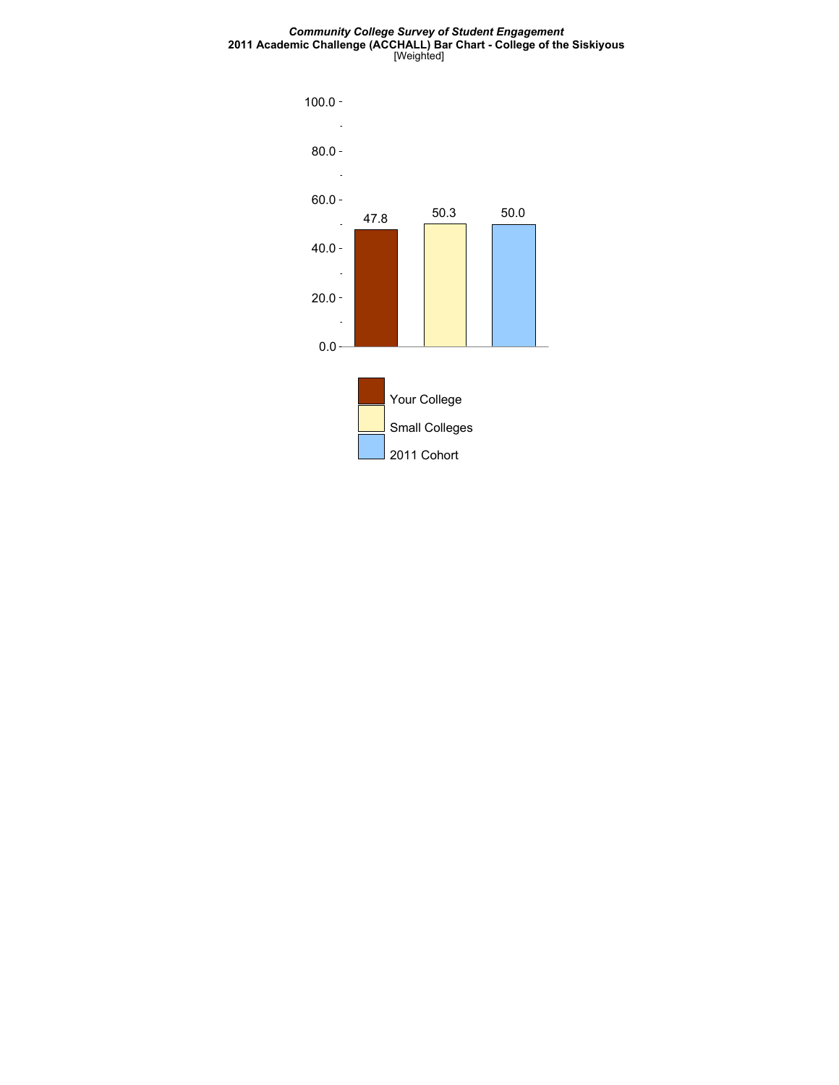#### *Community College Survey of Student Engagement* **2011 Academic Challenge (ACCHALL) Bar Chart - College of the Siskiyous** [Weighted]

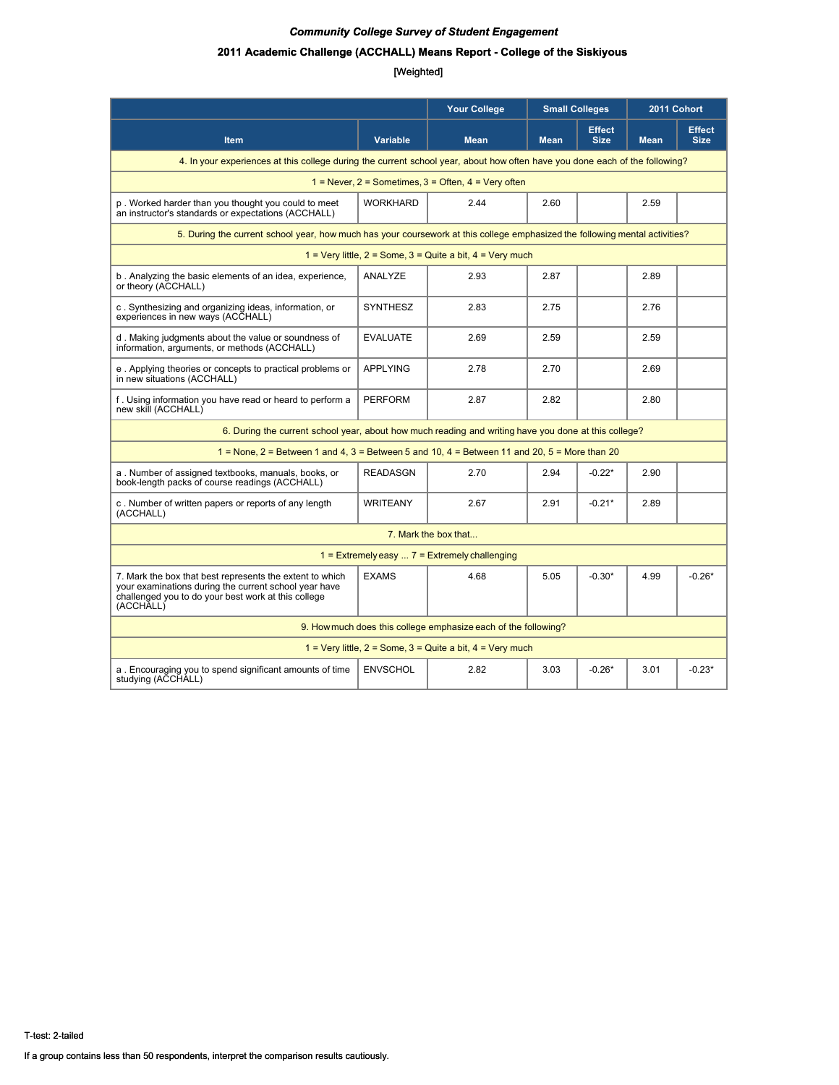### **2011 Academic Challenge (ACCHALL) Means Report - College of the Siskiyous**

|                                                                                                                                                                                       |                 | <b>Your College</b>                                             | <b>Small Colleges</b> |                              | 2011 Cohort |                              |  |  |  |
|---------------------------------------------------------------------------------------------------------------------------------------------------------------------------------------|-----------------|-----------------------------------------------------------------|-----------------------|------------------------------|-------------|------------------------------|--|--|--|
| <b>Item</b>                                                                                                                                                                           | <b>Variable</b> | <b>Mean</b>                                                     | <b>Mean</b>           | <b>Effect</b><br><b>Size</b> | <b>Mean</b> | <b>Effect</b><br><b>Size</b> |  |  |  |
| 4. In your experiences at this college during the current school year, about how often have you done each of the following?                                                           |                 |                                                                 |                       |                              |             |                              |  |  |  |
| $1 =$ Never, $2 =$ Sometimes, $3 =$ Often, $4 =$ Very often                                                                                                                           |                 |                                                                 |                       |                              |             |                              |  |  |  |
| p. Worked harder than you thought you could to meet<br>an instructor's standards or expectations (ACCHALL)                                                                            | <b>WORKHARD</b> | 2.44                                                            | 2.60                  |                              | 2.59        |                              |  |  |  |
| 5. During the current school year, how much has your coursework at this college emphasized the following mental activities?                                                           |                 |                                                                 |                       |                              |             |                              |  |  |  |
|                                                                                                                                                                                       |                 | 1 = Very little, $2 =$ Some, $3 =$ Quite a bit, $4 =$ Very much |                       |                              |             |                              |  |  |  |
| b. Analyzing the basic elements of an idea, experience,<br>or theory (ACCHALL)                                                                                                        | ANALYZE         | 2.93                                                            | 2.87                  |                              | 2.89        |                              |  |  |  |
| c. Synthesizing and organizing ideas, information, or<br>experiences in new ways (ACCHALL)                                                                                            | <b>SYNTHESZ</b> | 2.83                                                            | 2.75                  |                              | 2.76        |                              |  |  |  |
| d. Making judgments about the value or soundness of<br>information, arguments, or methods (ACCHALL)                                                                                   | <b>EVALUATE</b> | 2.69                                                            | 2.59                  |                              | 2.59        |                              |  |  |  |
| e. Applying theories or concepts to practical problems or<br>in new situations (ACCHALL)                                                                                              | <b>APPLYING</b> | 2.78                                                            | 2.70                  |                              | 2.69        |                              |  |  |  |
| f. Using information you have read or heard to perform a<br>new skill (ACCHALL)                                                                                                       | <b>PERFORM</b>  | 2.87                                                            | 2.82                  |                              | 2.80        |                              |  |  |  |
| 6. During the current school year, about how much reading and writing have you done at this college?                                                                                  |                 |                                                                 |                       |                              |             |                              |  |  |  |
| $1 =$ None, $2 =$ Between 1 and 4, $3 =$ Between 5 and 10, $4 =$ Between 11 and 20, $5 =$ More than 20                                                                                |                 |                                                                 |                       |                              |             |                              |  |  |  |
| a. Number of assigned textbooks, manuals, books, or<br>book-length packs of course readings (ACCHALL)                                                                                 | <b>READASGN</b> | 2.70                                                            | 2.94                  | $-0.22*$                     | 2.90        |                              |  |  |  |
| c. Number of written papers or reports of any length<br>(ACCHALL)                                                                                                                     | <b>WRITEANY</b> | 2.67                                                            | 2.91                  | $-0.21*$                     | 2.89        |                              |  |  |  |
|                                                                                                                                                                                       |                 | 7. Mark the box that                                            |                       |                              |             |                              |  |  |  |
|                                                                                                                                                                                       |                 | $1 =$ Extremely easy $7 =$ Extremely challenging                |                       |                              |             |                              |  |  |  |
| 7. Mark the box that best represents the extent to which<br>your examinations during the current school year have<br>challenged you to do your best work at this college<br>(ACCHALL) | <b>EXAMS</b>    | 4.68                                                            | 5.05                  | $-0.30*$                     | 4.99        | $-0.26*$                     |  |  |  |
|                                                                                                                                                                                       |                 | 9. How much does this college emphasize each of the following?  |                       |                              |             |                              |  |  |  |
|                                                                                                                                                                                       |                 | 1 = Very little, $2 =$ Some, $3 =$ Quite a bit, $4 =$ Very much |                       |                              |             |                              |  |  |  |
| a. Encouraging you to spend significant amounts of time<br>studying (ACCHALL)                                                                                                         | <b>ENVSCHOL</b> | 2.82                                                            | 3.03                  | $-0.26*$                     | 3.01        | $-0.23*$                     |  |  |  |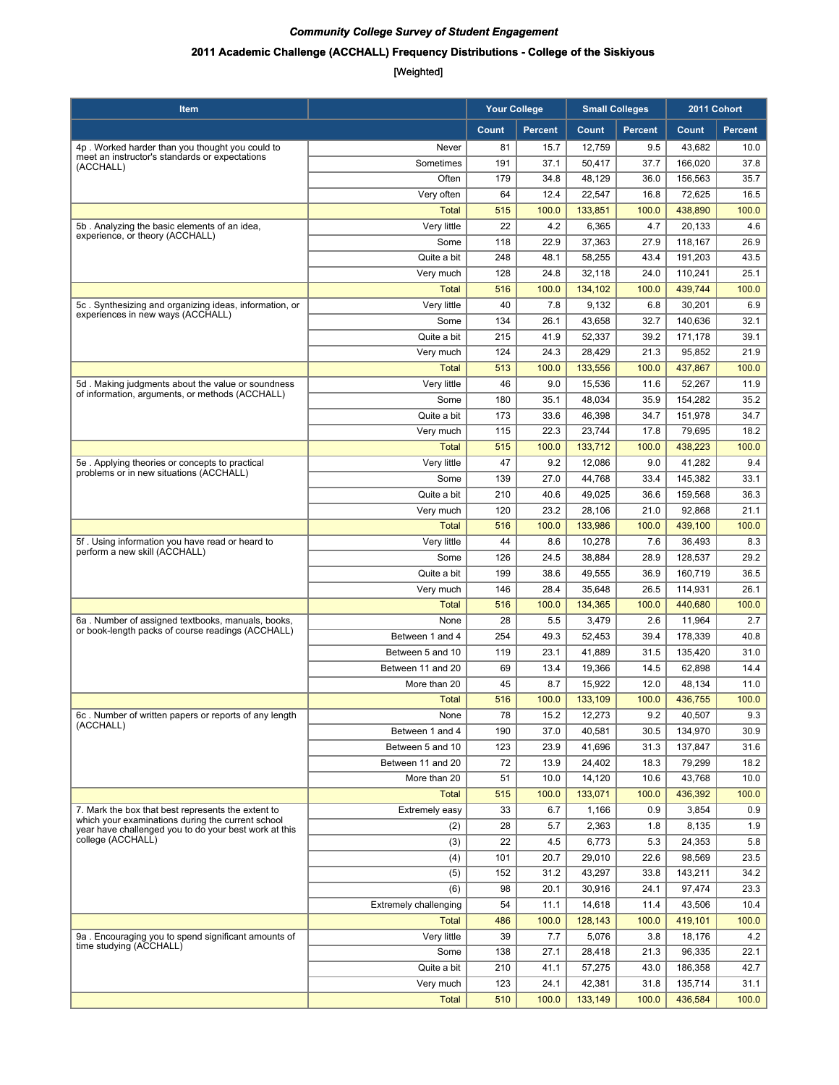### **2011 Academic Challenge (ACCHALL) Frequency Distributions - College of the Siskiyous**

| Item                                                                                                       |                              | <b>Your College</b> |                | <b>Small Colleges</b> |                | 2011 Cohort |                |
|------------------------------------------------------------------------------------------------------------|------------------------------|---------------------|----------------|-----------------------|----------------|-------------|----------------|
|                                                                                                            |                              | Count               | <b>Percent</b> | Count                 | <b>Percent</b> | Count       | <b>Percent</b> |
| 4p. Worked harder than you thought you could to                                                            | Never                        | 81                  | 15.7           | 12,759                | 9.5            | 43,682      | 10.0           |
| meet an instructor's standards or expectations<br>(ACCHALL)                                                | Sometimes                    | 191                 | 37.1           | 50,417                | 37.7           | 166,020     | 37.8           |
|                                                                                                            | Often                        | 179                 | 34.8           | 48,129                | 36.0           | 156,563     | 35.7           |
|                                                                                                            | Very often                   | 64                  | 12.4           | 22,547                | 16.8           | 72,625      | 16.5           |
|                                                                                                            | <b>Total</b>                 | 515                 | 100.0          | 133,851               | 100.0          | 438,890     | 100.0          |
| 5b. Analyzing the basic elements of an idea,                                                               | Very little                  | 22                  | 4.2            | 6,365                 | 4.7            | 20,133      | 4.6            |
| experience, or theory (ACCHALL)                                                                            | Some                         | 118                 | 22.9           | 37,363                | 27.9           | 118,167     | 26.9           |
|                                                                                                            | Quite a bit                  | 248                 | 48.1           | 58,255                | 43.4           | 191,203     | 43.5           |
|                                                                                                            | Very much                    | 128                 | 24.8           | 32,118                | 24.0           | 110,241     | 25.1           |
|                                                                                                            | <b>Total</b>                 | 516                 | 100.0          | 134,102               | 100.0          | 439,744     | 100.0          |
| 5c. Synthesizing and organizing ideas, information, or                                                     | Very little                  | 40                  | 7.8            | 9,132                 | 6.8            | 30,201      | 6.9            |
| experiences in new ways (ACCHALL)                                                                          | Some                         | 134                 | 26.1           | 43,658                | 32.7           | 140,636     | 32.1           |
|                                                                                                            | Quite a bit                  | 215                 | 41.9           | 52,337                | 39.2           | 171,178     | 39.1           |
|                                                                                                            | Very much                    | 124                 | 24.3           | 28,429                | 21.3           | 95,852      | 21.9           |
|                                                                                                            | <b>Total</b>                 | 513                 | 100.0          | 133,556               | 100.0          | 437,867     | 100.0          |
| 5d. Making judgments about the value or soundness                                                          | Very little                  | 46                  | 9.0            | 15,536                | 11.6           | 52,267      | 11.9           |
| of information, arguments, or methods (ACCHALL)                                                            | Some                         | 180                 | 35.1           | 48,034                | 35.9           | 154,282     | 35.2           |
|                                                                                                            | Quite a bit                  | 173                 | 33.6           | 46,398                | 34.7           | 151,978     | 34.7           |
|                                                                                                            | Very much                    | 115                 | 22.3           | 23,744                | 17.8           | 79,695      | 18.2           |
|                                                                                                            | <b>Total</b>                 | 515                 | 100.0          | 133,712               | 100.0          | 438,223     | 100.0          |
| 5e. Applying theories or concepts to practical                                                             | Very little                  | 47                  | 9.2            | 12,086                | 9.0            | 41,282      | 9.4            |
| problems or in new situations (ACCHALL)                                                                    | Some                         | 139                 | 27.0           | 44,768                | 33.4           | 145,382     | 33.1           |
|                                                                                                            | Quite a bit                  | 210                 | 40.6           | 49,025                | 36.6           | 159,568     | 36.3           |
|                                                                                                            | Very much                    | 120                 | 23.2           | 28,106                | 21.0           | 92,868      | 21.1           |
|                                                                                                            | <b>Total</b>                 | 516                 | 100.0          | 133,986               | 100.0          | 439,100     | 100.0          |
| 5f. Using information you have read or heard to                                                            | Very little                  | 44                  | 8.6            | 10,278                | 7.6            | 36,493      | 8.3            |
| perform a new skill (ACCHALL)                                                                              | Some                         | 126                 | 24.5           | 38,884                | 28.9           | 128,537     | 29.2           |
|                                                                                                            | Quite a bit                  | 199                 | 38.6           | 49,555                | 36.9           | 160,719     | 36.5           |
|                                                                                                            | Very much                    | 146                 | 28.4           | 35,648                | 26.5           | 114,931     | 26.1           |
|                                                                                                            | <b>Total</b>                 | 516                 | 100.0          | 134,365               | 100.0          | 440,680     | 100.0          |
| 6a. Number of assigned textbooks, manuals, books,                                                          | None                         | 28                  | 5.5            | 3,479                 | 2.6            | 11,964      | 2.7            |
| or book-length packs of course readings (ACCHALL)                                                          | Between 1 and 4              | 254                 | 49.3           | 52,453                | 39.4           | 178,339     | 40.8           |
|                                                                                                            | Between 5 and 10             | 119                 | 23.1           | 41,889                | 31.5           | 135,420     | 31.0           |
|                                                                                                            | Between 11 and 20            | 69                  | 13.4           | 19,366                | 14.5           | 62.898      | 14.4           |
|                                                                                                            | More than 20                 | 45                  | 8.7            | 15,922                | 12.0           | 48,134      | 11.0           |
|                                                                                                            | <b>Total</b>                 | 516                 | 100.0          | 133,109               | 100.0          | 436,755     | 100.0          |
| 6c. Number of written papers or reports of any length                                                      | None                         | 78                  | 15.2           | 12,273                | 9.2            | 40,507      | 9.3            |
| (ACCHALL)                                                                                                  | Between 1 and 4              | 190                 | 37.0           | 40,581                | 30.5           | 134,970     | 30.9           |
|                                                                                                            | Between 5 and 10             | 123                 | 23.9           | 41.696                | 31.3           | 137,847     | 31.6           |
|                                                                                                            | Between 11 and 20            | 72                  | 13.9           | 24,402                | 18.3           | 79,299      | 18.2           |
|                                                                                                            | More than 20                 | 51                  | 10.0           | 14,120                | 10.6           | 43,768      | 10.0           |
|                                                                                                            | <b>Total</b>                 | 515                 | 100.0          | 133,071               | 100.0          | 436,392     | 100.0          |
| 7. Mark the box that best represents the extent to                                                         | Extremely easy               | 33                  | 6.7            | 1,166                 | 0.9            | 3,854       | 0.9            |
| which your examinations during the current school<br>year have challenged you to do your best work at this | (2)                          | 28                  | 5.7            | 2,363                 | 1.8            | 8,135       | 1.9            |
| college (ACCHALL)                                                                                          | (3)                          | 22                  | 4.5            | 6,773                 | 5.3            | 24,353      | 5.8            |
|                                                                                                            | (4)                          | 101                 | 20.7           | 29,010                | 22.6           | 98,569      | 23.5           |
|                                                                                                            | (5)                          | 152                 | 31.2           | 43,297                | 33.8           | 143,211     | 34.2           |
|                                                                                                            | (6)                          | 98                  | 20.1           | 30,916                | 24.1           | 97,474      | 23.3           |
|                                                                                                            | <b>Extremely challenging</b> | 54                  | 11.1           | 14,618                | 11.4           | 43,506      | 10.4           |
|                                                                                                            | <b>Total</b>                 | 486                 | 100.0          | 128,143               | 100.0          | 419,101     | 100.0          |
| 9a. Encouraging you to spend significant amounts of                                                        | Very little                  | 39                  | 7.7            | 5,076                 | 3.8            | 18,176      | 4.2            |
| time studying (ACCHALL)                                                                                    | Some                         | 138                 | 27.1           | 28,418                | 21.3           | 96,335      | 22.1           |
|                                                                                                            | Quite a bit                  | 210                 | 41.1           | 57,275                | 43.0           | 186,358     | 42.7           |
|                                                                                                            | Very much                    | 123                 | 24.1           | 42,381                | 31.8           | 135,714     | 31.1           |
|                                                                                                            | <b>Total</b>                 | 510                 | 100.0          | 133,149               | 100.0          | 436,584     | 100.0          |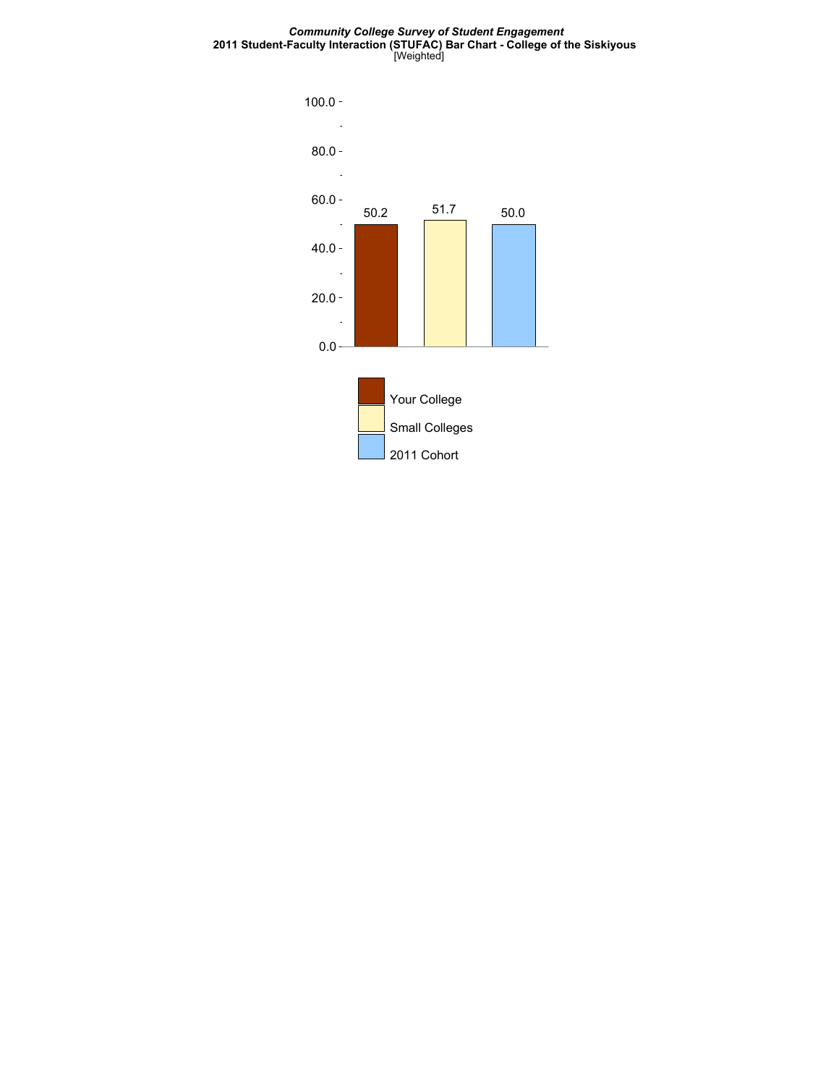#### *Community College Survey of Student Engagement* **2011 Student-Faculty Interaction (STUFAC) Bar Chart - College of the Siskiyous** [Weighted]

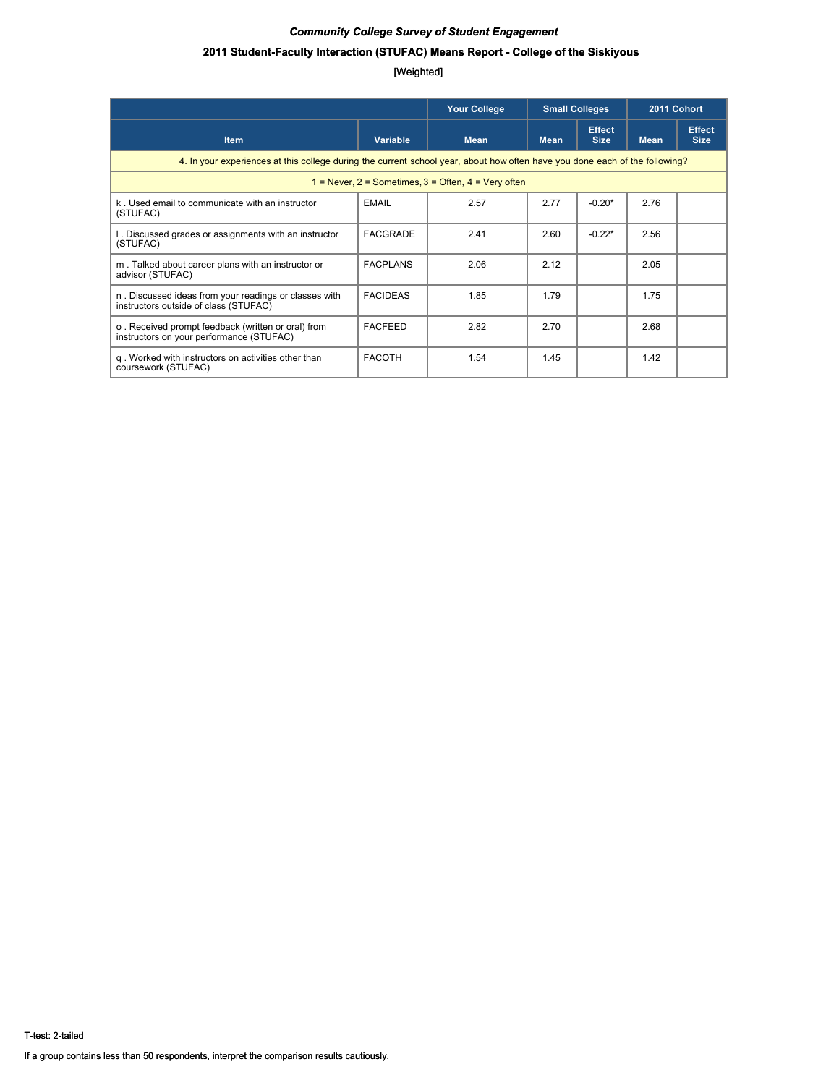### **2011 Student-Faculty Interaction (STUFAC) Means Report - College of the Siskiyous**

|                                                                                                                             | <b>Your College</b><br><b>Small Colleges</b> |             |             | 2011 Cohort                  |             |                              |  |  |  |
|-----------------------------------------------------------------------------------------------------------------------------|----------------------------------------------|-------------|-------------|------------------------------|-------------|------------------------------|--|--|--|
| <b>Item</b>                                                                                                                 | Variable                                     | <b>Mean</b> | <b>Mean</b> | <b>Effect</b><br><b>Size</b> | <b>Mean</b> | <b>Effect</b><br><b>Size</b> |  |  |  |
| 4. In your experiences at this college during the current school year, about how often have you done each of the following? |                                              |             |             |                              |             |                              |  |  |  |
| $1 =$ Never, $2 =$ Sometimes, $3 =$ Often, $4 =$ Very often                                                                 |                                              |             |             |                              |             |                              |  |  |  |
| k. Used email to communicate with an instructor<br>(STUFAC)                                                                 | <b>EMAIL</b>                                 | 2.57        | 2.77        | $-0.20*$                     | 2.76        |                              |  |  |  |
| I. Discussed grades or assignments with an instructor<br>(STUFAC)                                                           | FACGRADE                                     | 2.41        | 2.60        | $-0.22*$                     | 2.56        |                              |  |  |  |
| m. Talked about career plans with an instructor or<br>advisor (STUFAC)                                                      | <b>FACPLANS</b>                              | 2.06        | 2.12        |                              | 2.05        |                              |  |  |  |
| n. Discussed ideas from your readings or classes with<br>instructors outside of class (STUFAC)                              | <b>FACIDEAS</b>                              | 1.85        | 1.79        |                              | 1.75        |                              |  |  |  |
| o. Received prompt feedback (written or oral) from<br>instructors on your performance (STUFAC)                              | <b>FACFEED</b>                               | 2.82        | 2.70        |                              | 2.68        |                              |  |  |  |
| g. Worked with instructors on activities other than<br>coursework (STUFAC)                                                  | <b>FACOTH</b>                                | 1.54        | 1.45        |                              | 1.42        |                              |  |  |  |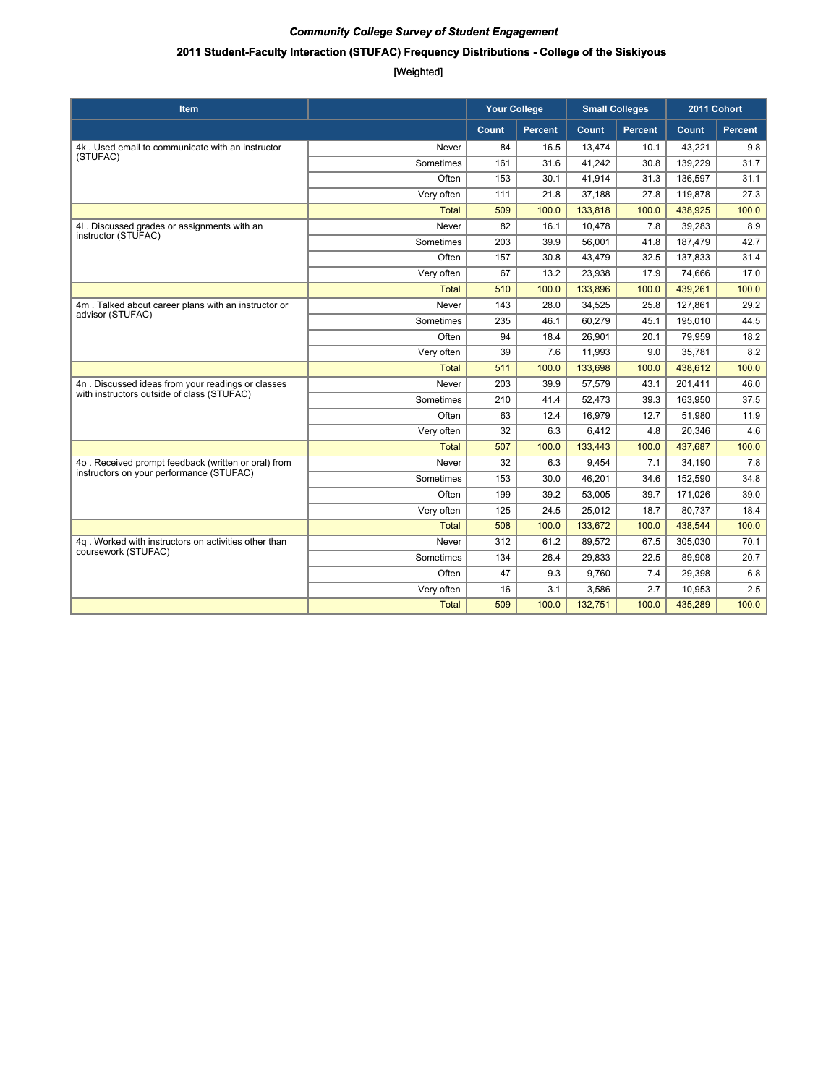### **2011 Student-Faculty Interaction (STUFAC) Frequency Distributions - College of the Siskiyous**

| <b>Item</b>                                                             |              | <b>Your College</b> | <b>Small Colleges</b> |         | 2011 Cohort    |         |         |
|-------------------------------------------------------------------------|--------------|---------------------|-----------------------|---------|----------------|---------|---------|
|                                                                         |              | Count               | <b>Percent</b>        | Count   | <b>Percent</b> | Count   | Percent |
| 4k. Used email to communicate with an instructor                        | Never        | 84                  | 16.5                  | 13,474  | 10.1           | 43,221  | 9.8     |
| (STUFAC)                                                                | Sometimes    | 161                 | 31.6                  | 41,242  | 30.8           | 139,229 | 31.7    |
|                                                                         | Often        | 153                 | 30.1                  | 41,914  | 31.3           | 136,597 | 31.1    |
|                                                                         | Very often   | 111                 | 21.8                  | 37,188  | 27.8           | 119,878 | 27.3    |
|                                                                         | <b>Total</b> | 509                 | 100.0                 | 133,818 | 100.0          | 438,925 | 100.0   |
| 4I. Discussed grades or assignments with an                             | Never        | 82                  | 16.1                  | 10.478  | 7.8            | 39,283  | 8.9     |
| instructor (STUFAC)                                                     | Sometimes    | 203                 | 39.9                  | 56,001  | 41.8           | 187,479 | 42.7    |
|                                                                         | Often        | 157                 | 30.8                  | 43.479  | 32.5           | 137,833 | 31.4    |
|                                                                         | Very often   | 67                  | 13.2                  | 23,938  | 17.9           | 74,666  | 17.0    |
|                                                                         | <b>Total</b> | 510                 | 100.0                 | 133,896 | 100.0          | 439,261 | 100.0   |
| 4m. Talked about career plans with an instructor or<br>advisor (STUFAC) | Never        | 143                 | 28.0                  | 34.525  | 25.8           | 127,861 | 29.2    |
|                                                                         | Sometimes    | 235                 | 46.1                  | 60,279  | 45.1           | 195,010 | 44.5    |
|                                                                         | Often        | 94                  | 18.4                  | 26,901  | 20.1           | 79,959  | 18.2    |
|                                                                         | Very often   | 39                  | 7.6                   | 11,993  | 9.0            | 35,781  | 8.2     |
|                                                                         | <b>Total</b> | 511                 | 100.0                 | 133,698 | 100.0          | 438,612 | 100.0   |
| 4n. Discussed ideas from your readings or classes                       | Never        | 203                 | 39.9                  | 57,579  | 43.1           | 201,411 | 46.0    |
| with instructors outside of class (STUFAC)                              | Sometimes    | 210                 | 41.4                  | 52.473  | 39.3           | 163,950 | 37.5    |
|                                                                         | Often        | 63                  | 12.4                  | 16,979  | 12.7           | 51,980  | 11.9    |
|                                                                         | Very often   | 32                  | 6.3                   | 6.412   | 4.8            | 20,346  | 4.6     |
|                                                                         | <b>Total</b> | 507                 | 100.0                 | 133,443 | 100.0          | 437,687 | 100.0   |
| 4o. Received prompt feedback (written or oral) from                     | Never        | 32                  | 6.3                   | 9,454   | 7.1            | 34,190  | 7.8     |
| instructors on your performance (STUFAC)                                | Sometimes    | 153                 | 30.0                  | 46.201  | 34.6           | 152,590 | 34.8    |
|                                                                         | Often        | 199                 | 39.2                  | 53,005  | 39.7           | 171,026 | 39.0    |
|                                                                         | Very often   | 125                 | 24.5                  | 25,012  | 18.7           | 80,737  | 18.4    |
|                                                                         | <b>Total</b> | 508                 | 100.0                 | 133,672 | 100.0          | 438,544 | 100.0   |
| 4q. Worked with instructors on activities other than                    | Never        | 312                 | 61.2                  | 89,572  | 67.5           | 305,030 | 70.1    |
| coursework (STUFAC)                                                     | Sometimes    | 134                 | 26.4                  | 29,833  | 22.5           | 89,908  | 20.7    |
|                                                                         | Often        | 47                  | 9.3                   | 9,760   | 7.4            | 29,398  | 6.8     |
|                                                                         | Very often   | 16                  | 3.1                   | 3,586   | 2.7            | 10,953  | 2.5     |
|                                                                         | <b>Total</b> | 509                 | 100.0                 | 132,751 | 100.0          | 435,289 | 100.0   |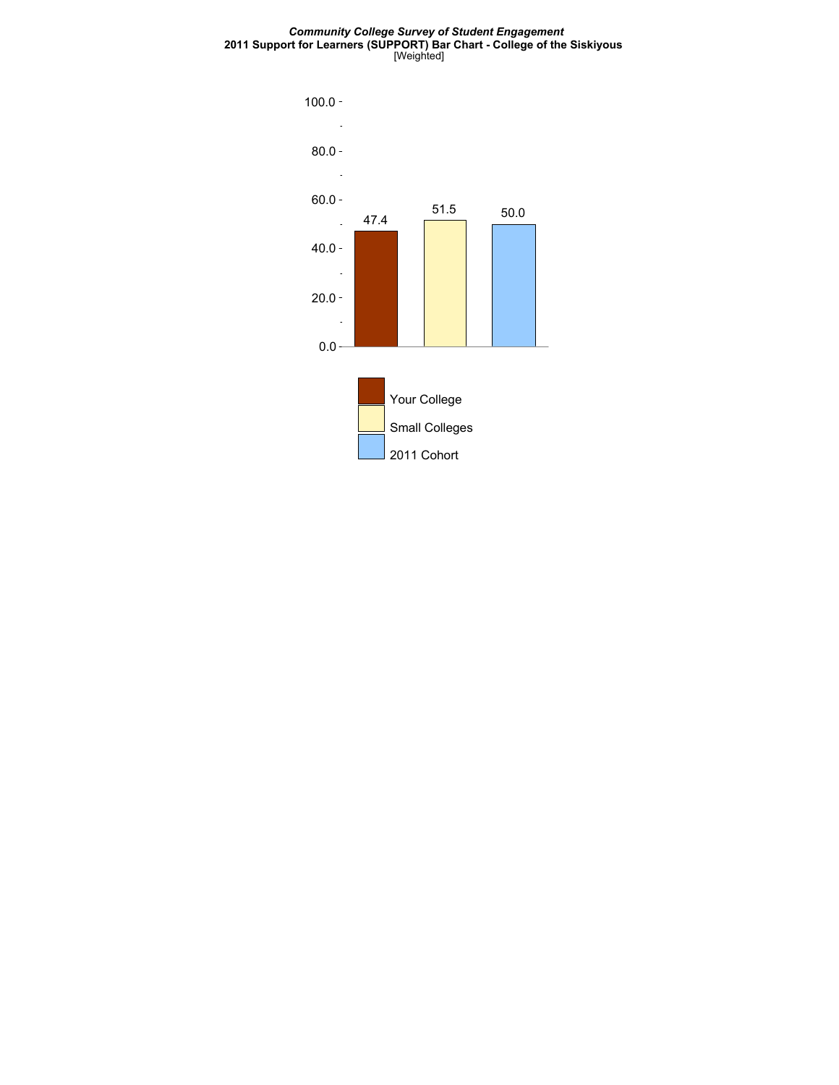#### *Community College Survey of Student Engagement* **2011 Support for Learners (SUPPORT) Bar Chart - College of the Siskiyous** [Weighted]

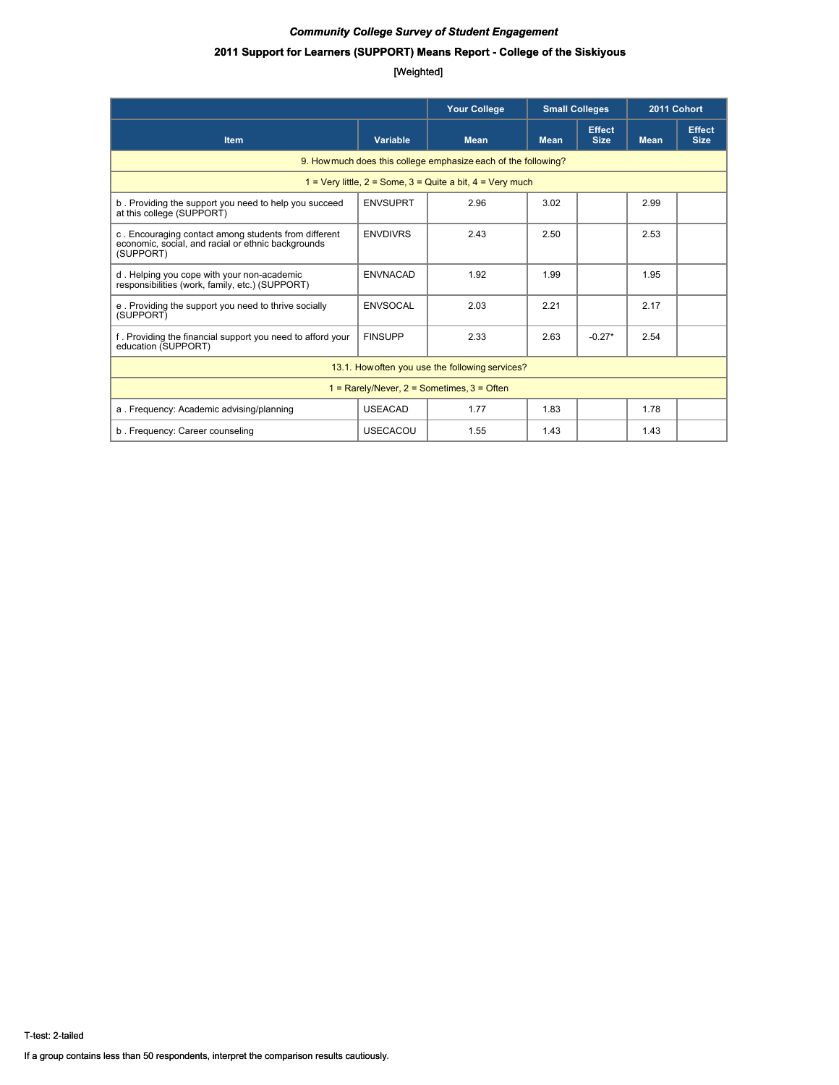### **2011 Support for Learners (SUPPORT) Means Report - College of the Siskiyous**

|                                                                                                                         |                 | <b>Your College</b>                             | <b>Small Colleges</b> |                              | 2011 Cohort |                              |  |  |  |
|-------------------------------------------------------------------------------------------------------------------------|-----------------|-------------------------------------------------|-----------------------|------------------------------|-------------|------------------------------|--|--|--|
| <b>Item</b>                                                                                                             | Variable        | <b>Mean</b>                                     | <b>Mean</b>           | <b>Effect</b><br><b>Size</b> | <b>Mean</b> | <b>Effect</b><br><b>Size</b> |  |  |  |
| 9. How much does this college emphasize each of the following?                                                          |                 |                                                 |                       |                              |             |                              |  |  |  |
| 1 = Very little, $2$ = Some, $3$ = Quite a bit, $4$ = Very much                                                         |                 |                                                 |                       |                              |             |                              |  |  |  |
| b. Providing the support you need to help you succeed<br>at this college (SUPPORT)                                      | <b>ENVSUPRT</b> | 2.96                                            | 3.02                  |                              | 2.99        |                              |  |  |  |
| c. Encouraging contact among students from different<br>economic, social, and racial or ethnic backgrounds<br>(SUPPORT) | <b>ENVDIVRS</b> | 2.43                                            | 2.50                  |                              | 2.53        |                              |  |  |  |
| d. Helping you cope with your non-academic<br>responsibilities (work, family, etc.) (SUPPORT)                           | <b>ENVNACAD</b> | 1.92                                            | 1.99                  |                              | 1.95        |                              |  |  |  |
| e. Providing the support you need to thrive socially<br>(SUPPORT)                                                       | <b>ENVSOCAL</b> | 2.03                                            | 2.21                  |                              | 2.17        |                              |  |  |  |
| f. Providing the financial support you need to afford your<br>education (SUPPORT)                                       | <b>FINSUPP</b>  | 2.33                                            | 2.63                  | $-0.27*$                     | 2.54        |                              |  |  |  |
|                                                                                                                         |                 | 13.1. How often you use the following services? |                       |                              |             |                              |  |  |  |
| $1 =$ Rarely/Never, $2 =$ Sometimes, $3 =$ Often                                                                        |                 |                                                 |                       |                              |             |                              |  |  |  |
| a. Frequency: Academic advising/planning                                                                                | <b>USEACAD</b>  | 1.77                                            | 1.83                  |                              | 1.78        |                              |  |  |  |
| b. Frequency: Career counseling                                                                                         | <b>USECACOU</b> | 1.55                                            | 1.43                  |                              | 1.43        |                              |  |  |  |